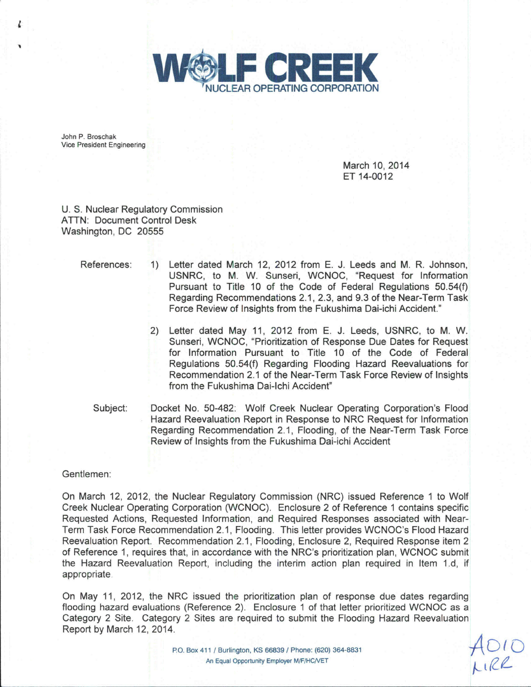

John P. Broschak Vice President Engineering

> March 10, 2014 ET 14-0012

U. S. Nuclear Regulatory Commission ATTN: Document Control Desk Washington, DC 20555

References: 1) Letter dated March 12, 2012 from E. J. Leeds and M. R. Johnson, USNRC, to M. W. Sunseri, WCNOC, "Request for Information Pursuant to Title 10 of the Code of Federal Regulations 50.54(f) Regarding Recommendations 2.1, 2.3, and 9.3 of the Near-Term Task Force Review of Insights from the Fukushima Dai-ichi Accident."

- 2) Letter dated May 11, 2012 from E. J. Leeds, USNRC, to M. W. Sunseri, WCNOC, "Prioritization of Response Due Dates for Request for Information Pursuant to Title 10 of the Code of Federal Regulations 50.54(f) Regarding Flooding Hazard Reevaluations for Recommendation 2.1 of the Near-Term Task Force Review of Insights from the Fukushima Dai-Ichi Accident"
- Subject: Docket No. 50-482: Wolf Creek Nuclear Operating Corporation's Flood Hazard Reevaluation Report in Response to NRC Request for Information Regarding Recommendation 2.1, Flooding, of the Near-Term Task Force Review of Insights from the Fukushima Dai-ichi Accident

## Gentlemen:

On March 12, 2012, the Nuclear Regulatory Commission (NRC) issued Reference 1 to Wolf Creek Nuclear Operating Corporation (WCNOC). Enclosure 2 of Reference 1 contains specific Requested Actions, Requested Information, and Required Responses associated with Near-Term Task Force Recommendation 2.1, Flooding. This letter provides WCNOC's Flood Hazard Reevaluation Report. Recommendation 2.1, Flooding, Enclosure 2, Required Response item 2 of Reference 1, requires that, in accordance with the NRC's prioritization plan, WCNOC submit the Hazard Reevaluation Report, including the interim action plan required in Item 1.d, if appropriate

On May 11, 2012, the NRC issued the prioritization plan of response due dates regarding flooding hazard evaluations (Reference 2). Enclosure 1 of that letter prioritized WCNOC as a Category 2 Site. Category 2 Sites are required to submit the Flooding Hazard Reevaluation Report by March 12, 2014.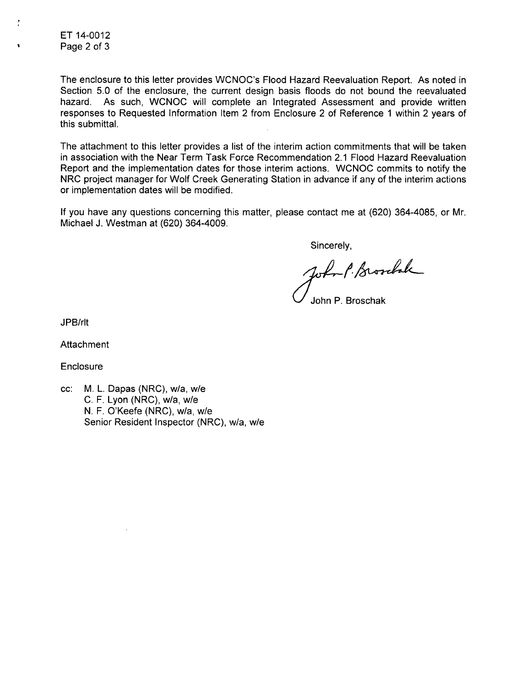ET 14-0012 Page 2 of 3

Ť

The enclosure to this letter provides WCNOC's Flood Hazard Reevaluation Report. As noted in Section 5.0 of the enclosure, the current design basis floods do not bound the reevaluated hazard. As such, WCNOC will complete an Integrated Assessment and provide written responses to Requested Information Item 2 from Enclosure 2 of Reference 1 within 2 years of this submittal.

The attachment to this letter provides a list of the interim action commitments that will be taken in association with the Near Term Task Force Recommendation 2.1 Flood Hazard Reevaluation Report and the implementation dates for those interim actions. WCNOC commits to notify the NRC project manager for Wolf Creek Generating Station in advance if any of the interim actions or implementation dates will be modified.

If you have any questions concerning this matter, please contact me at (620) 364-4085, or Mr. Michael J. Westman at (620) 364-4009.

Sincerely,

John P. Brookak

John P. Broschak

JPB/rlt

**Attachment** 

**Enclosure** 

cc: M. L. Dapas (NRC), w/a, w/e C. F. Lyon (NRC), w/a, w/e N. F. O'Keefe (NRC), w/a, w/e Senior Resident Inspector (NRC), w/a, w/e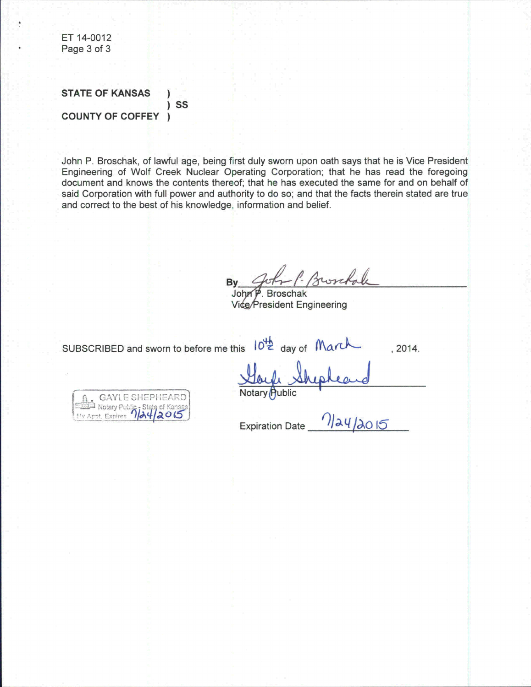ET 14-0012 Page 3 of 3

**STATE OF KANSAS** SS  $\mathcal{E}$ **COUNTY OF COFFEY**  $\lambda$ 

John P. Broschak, of lawful age, being first duly sworn upon oath says that he is Vice President Engineering of Wolf Creek Nuclear Operating Corporation; that he has read the foregoing document and knows the contents thereof; that he has executed the same for and on behalf of said Corporation with full power and authority to do so; and that the facts therein stated are true and correct to the best of his knowledge, information and belief.

**Bv** 

 $7)24/2015$ 

John **Broschak** Vice/President Engineering

SUBSCRIBED and sworn to before me this 10<sup>th</sup> day of Man

 $.2014.$ 

GAYLE SHEP

**Public** 

**Expiration Date**